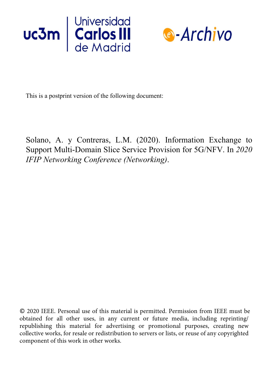



This is a postprint version of the following document:

Solano, A. y Contreras, L.M. (2020). Information Exchange to Support Multi-Domain Slice Service Provision for 5G/NFV. In *2020 IFIP Networking Conference (Networking)*.

© 2020 IEEE. Personal use of this material is permitted. Permission from IEEE must be obtained for all other uses, in any current or future media, including reprinting/ republishing this material for advertising or promotional purposes, creating new collective works, for resale or redistribution to servers or lists, or reuse of any copyrighted component of this work in other works.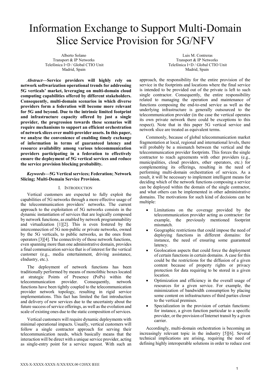# Information Exchange to Support Multi-Domain Slice Service Provision for 5G/NFV

Alberto Solano Transport & IP Networks Telefónica I+D / Global CTIO Unit Madrid, Spain

Abstract—Service providers will highly rely on network softwarization operational trends for addressing 5G verticals' market, leveraging on multi-domain cloud computing capabilities offered by different stakeholders. Consequently, multi-domain scenarios in which diverse providers form a federation will become more relevant for 5G and beyond. Due to the intrinsic limited footprint and infrastructure capacity offered by just a single provider, the progression towards these scenarios will require mechanisms to support an efficient orchestration of network slices over multi-provider assets. In this paper, we analyse the convenience of enabling timely exchange of information in terms of guaranteed latency and resource availability among various telecommunication providers participating in a federation to effectively ensure the deployment of 5G vertical services and reduce the service provision blocking probability.

Keywords—5G Vertical services; Federation; Network Slicing; Multi-Domain Service Provision.

# I. INTRODUCTION

Vertical customers are expected to fully exploit the capabilities of 5G networks through a more effective usage of the telecommunication providers' networks. The current approach to the exploitation of 5G networks consists in the dynamic instantiation of services that are logically composed by network functions, as enabled by network programmability and virtualization [1][2]. This is even fostered by the interconnection of 5G non-public or private networks, owned by the 5G verticals, to public networks, as the ones from operators [3][4]. The connectivity of those network functions, even spanning more than one administrative domain, provides a final communication service that is of interest for the vertical customer (e.g., media entertainment, driving assistance, eIndustry, etc.).

The deployment of network functions has been traditionally performed by means of monolithic boxes located at strategic Points of Presence (PoPs) within the telecommunication provider. Consequently, network functions have been tightly coupled to the telecommunication provider network topology, resulting in rigid service implementations. This fact has limited the fast introduction and delivery of new services due to the uncertainty about the future success of service offerings, as well as the evolution and scale of existing ones due to the static composition of services.

Vertical customers will require dynamic deployments with minimal operational impacts. Usually, vertical customers will follow a single contractor approach for serving their telecommunication needs, which basically means that the interaction will be direct with a unique service provider, acting as single-entry point for a service request. With such an

 Luis M. Contreras Transport & IP Networks Telefónica I+D / Global CTIO Unit Madrid, Spain

approach, the responsibility for the entire provision of the service in the footprints and locations where the final service is intended to be provided out of the private is left to such single contractor. Consequently, the entire responsibility related to managing the operation and maintenance of functions composing the end-to-end service as well as the underlying infrastructure is generally outsourced to the telecommunication provider (in the case the vertical operates its own private network there could be exceptions to this respect). Note that in this paper 5G vertical service and network slice are treated as equivalent terms.

Commonly, because of global telecommunication market fragmentation at local, regional and international levels, there will probably be a mismatch between the vertical and the telecommunication provider footprints. This forces the single contractor to reach agreements with other providers (e.g., municipalities, cloud providers, other operators, etc.) for complementing its offerings, resulting in the need of performing multi-domain orchestration of services. As a result, it will be necessary to implement intelligent means for deciding which of the network functions composing a service can be deployed within the domain of the single contractor, and what others can be implemented in other administrative domains. The motivations for such kind of decisions can be multiple:

- Limitations on the coverage provided by the telecommunication provider acting as contractor: for example, the previously mentioned footprint mismatch.
- Geographic restrictions that could impose the need of deploying functions in different domains: for instance, the need of ensuring some guaranteed latency.
- Geolocation aspects that could force the deployment of certain functions in certain domains. A case for this could be the restrictions for the diffusion of a given content because of property rights or privacy protection for data requiring to be stored in a given location.
- Optimization and efficiency in the overall usage of resources for a given service. For example, the minimization of bandwidth consumption by placing some content on infrastructures of third parties closer to the vertical premises.
- Specialization in the provision of certain functions: for instance, a given function particular to a specific provider, or the provision of Internet transit by a given carrier.

Accordingly, multi-domain orchestration is becoming an increasingly relevant topic in the industry [5][6]. Several technical implications are arising, requiring the need of defining highly interoperable solutions in order to reduce cost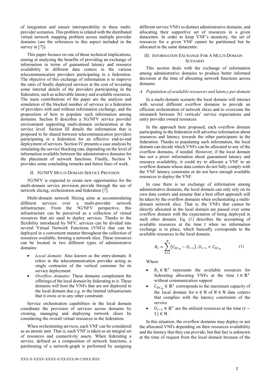of integration and ensure interoperability in these multiprovider scenarios. This problem is related with the distributed virtual network mapping problem across multiple provider domains (see the references to this aspect included in the survey in [7]).

This paper focuses on one of those technical implications, aiming at analysing the benefits of providing an exchange of information in terms of guaranteed latency and resource availability in different data centers in the various telecommunication providers participating in a federation. The objective of this exchange of information is to improve the ratio of finally deployed services at the cost of revealing some internal details of the providers participating in the federation, such as achievable latency and available resources. The main contributions of the paper are the analysis and simulation of the blocked number of services in a federation of providers with and without information exchange, and the proposition of how to populate such information among domains. Section II describes a 5G/NFV service provider environment supporting multi-domain orchestration at the service level. Section III details the information that is proposed to be shared between telecommunication providers participating in a federation for an effective end-to-end deployment of services. Section IV presents a case analysis by simulating the service blocking rate, depending on the level of information available between the administrative domains for the placement of network functions. Finally, Section V provides some concluding remarks and future lines of work.

# II. 5G/NFV MULTI-DOMAIN SERVICE PROVISON

5G/NFV is expected to create new opportunities for the multi-domain service provision provide through the use of network slicing, orchestration and federation [7].

Multi-domain network Slicing aims at accommodating different services over a multi-provider network infrastructure. From the 5G/NFV perspective, this infrastructure can be perceived as a collection of virtual resources that are used to deploy services. Thanks to the flexibility introduced by NFV, services can be divided into several Virtual Network Functions (VNFs) that can be deployed in a convenient manner throughout the collection of resources available, forming a network slice. These resources can be located in two different types of administrative domains:

- *Local domain*: Also known as the entry-domain. It refers to the telecommunication provider acting as single contractor of the vertical customer for its service deployment.
- Overflow domains: These domains complement the offerings of the local domain by federating to it. These domains will host the VNFs that are not deployed in the local domain due e.g. to the limited infrastructure that it owns or to any other constraint.

Service orchestration capabilities in the local domain coordinate the provision of services across domains by creating, managing and deploying network slices by considering the overall virtual resources in the federation.

When orchestrating services, each VNF can be considered as an atomic unit. That is, each VNF is taken as an integral set of resources and connectivity assets. When federating a service, defined as a composition of network functions, a partitioning of a network-graph is performed by assigning different service VNFs to distinct administrative domains, and allocating their supportive set of resources in a given datacentre. In order to keep VNF's atomicity, the set of resources for a given VNF cannot be partitioned but be allocated in the same datacentre.

# III. INFORMATION EXCHANGE FOR A MULTI-DOMAIN **SCENARIO**

This section deals with the exchange of information among administrative domains to produce better informed decisions at the time of allocating network functions across domains.

## A. Population of available resources and latency per domain

In a multi-domain scenario the local domain will interact with several different overflow domains to provide an efficient orchestration of network slices and to overcome the mismatch between 5G verticals' service expectations and entry provider owned resources.

In the approach here proposed, each overflow domain participating in the federation will advertise information about resources and latency towards the other participants in the federation. Thanks to populating such information, the local domain can decide which VNFs can be allocated to any of the overflow domains, if needed. However, if the local domain has not a priori information about guaranteed latency and resource availability, it could try to allocate a VNF to an overflow domain whose data centers do not fully comply with the VNF latency constrains or do not have enough available resources to deploy the VNF.

In case there is no exchange of information among administrative domains, the local domain can only rely on its own data centers and assume that a best effort approach will be taken by the overflow domains when orchestrating a multidomain network slice. That is, the VNFs that cannot be directly allocated in the local domain are passed over some overflow domain with the expectation of being deployed in such other domain. Eq. (1) describes the accounting of available resources at the time  $t$  when no information exchange is in place, which basically corresponds to the available resources in the local domain.

$$
R_t = \sum_{n=1}^{N} (C_{DC_n} - U_{t-1}), U_{t-1} < C_{DC_n} \tag{1}
$$

Where

- $R_t \in \mathbb{R}^+$  represents the available resources for federating allocating VNFs at the time  $t \in \mathbb{R}^+$ without communication support
- $C_{DC_n} \in \mathbb{R}^+$  corresponds to the maximum capacity of the local domain for  $n \in \mathbb{N}$  of  $N \in \mathbb{N}$  data centers that complies with the latency constraints of the service
- $U_{t-1} \in \mathbb{R}^+$  are the utilized resources at the time (t 1) ∈ ℕ.

In this situation, the overflow domains may deploy or not the allocated VNFs depending on their resources availability and the latency that they can provide, but that fact is unknown at the time of request from the local domain because of the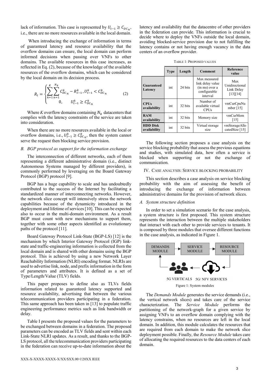lack of information. This case is represented by  $U_{t-1} \geq C_{DC_n}$ , i.e., there are no more resources available in the local domain.

 When introducing the exchange of information in terms of guaranteed latency and resource availability that the overflow domains can ensure, the local domain can perform informed decisions when passing over VNFs to other domains. The available resources in this case increases, as reflected in Eq. (2), because of the knowledge of the available resources of the overflow domains, which can be considered by the local domain on its decision process.

$$
R_{t} = \begin{cases} \sum_{k=1}^{K} \sum_{n=1}^{N_{k}} C_{DC_{n}}^{k} - R_{t-1}^{k}, U_{t-1}^{k} < C_{DC_{n}}^{k} \\ 0, \qquad U_{t-1}^{k} \ge C_{DC_{n}}^{k} \end{cases} \tag{2}
$$

Where K overflow domains containing  $N_k$  datacenters that complies with the latency constraints of the service are taken into consideration.

When there are no more resources available in the local or overflow domains, i.e.,  $U_{t-1}^k \ge C_{DC_n}^k$ , then the system cannot serve the request then blocking service provision.

## B. BGP protocol as support for the information exchange

The interconnection of different networks, each of them representing a different administrative domain (i.e., distinct Autonomous Systems managed by different providers), is commonly performed by leveraging on the Board Gateway Protocol (BGP) protocol [9].

BGP has a huge capability to scale and has undoubtedly contributed to the success of the Internet by facilitating a standardized manner of interconnecting networks. However, the network slice concept will intensively stress the network capabilities because of the dynamicity introduced in the deployment and lifetime of services [10]. This can be expected also to occur in the multi-domain environment. As a result BGP must count with new mechanisms to support them, together with some other aspects identified as evolutionary paths of the protocol [11].

Board Gateway Protocol Link-State (BGP-LS) [12] is the mechanism by which Interior Gateway Protocol (IGP) linkstate and traffic-engineering information is collected from the local domain and is shared with other domains using the BGP protocol. This is achieved by using a new Network Layer Reachability Information (NLRI) encoding format. NLRIs are used to advertise link, node, and prefix information in the form of parameters and attributes. It is defined as a set of Type/Length/Value (TLV) fields.

This paper proposes to define also as TLVs fields information related to guaranteed latency supported and resource availability, advertising that between the various telecommunication providers participating in a federation. This same approach has been taken in [13] to populate traffic engineering performance metrics such as link bandwidth or delay.

Table I presents the proposed values for the parameters to be exchanged between domains in a federation. The proposed parameters can be encoded as TLV fields and sent within each Link-State NLRI updates. As a result, and thanks to the BGP-LS protocol, all the telecommunication providers participating in the federation can receive up-to-date information about the

latency and availability that the datacentre of other providers in the federation can provide. This information is crucial to decide where to deploy the VNFs outside the local domain, avoiding blocked-service provision due to not fulfilling the latency contains or not having enough vacancy in the data centers of an overflow provider.

TABLE 1: PROPOSED VALUES

|                                 | <b>Type</b> | Length  | <b>Comment</b>                                                                 | <b>Reference</b><br>value                       |
|---------------------------------|-------------|---------|--------------------------------------------------------------------------------|-------------------------------------------------|
| Guaranteed<br>Latency           | int         | 24 bits | Max measured<br>link delay value<br>(in ms) over a<br>configurable<br>interval | Max<br>Unidirectional<br>Link Delay<br>[13][14] |
| <b>CPUs</b><br>availability     | int         | 32 bits | Number of<br>available virtual<br><b>CPUs</b>                                  | vmCurCpuNu<br>mber $[15]$                       |
| <b>RAM</b><br>availability      | int         | 32 bits | Memory size                                                                    | vmCurMem<br>[15]                                |
| <b>HDD Disk</b><br>availability | int         | 32 bits | Virtual storage<br>size                                                        | vmStorageAllo<br>catedSize [15]                 |

The following section proposes a case analysis on the service blocking probability that assess the previous equations and studies, with simulated data, how often a service is blocked when supporting or not the exchange of communication.

#### IV. CASE ANALYSIS: SERVICE BLOCKING PROBABILITY

This section describes a case analysis on service blocking probability with the aim of assessing the benefit of introducing the exchange of information between administrative domains for the provision of network slices.

## A. System structure definition

In order to set a simulation scenario for the case analysis, a system structure is first proposed. This system structure represents the interaction between the multiple stakeholders that interact with each other to provide services to tenants. It is composed by three modules that oversee different functions in the case analysis, as indicated in Figure 1.



The Demands Module generates the service demands (i.e., the vertical network slices) and takes care of the service characterization. The Service Module performs the partitioning of the network-graph for a given service by assigning VNFs to an overflow domain complying with the latency constrains, when no resources are left in the local domain. In addition, this module calculates the resources that are required from each domain to make the network slice deployment possible. Finally, the Resource Module takes care of allocating the required resources to the data centers of each domain.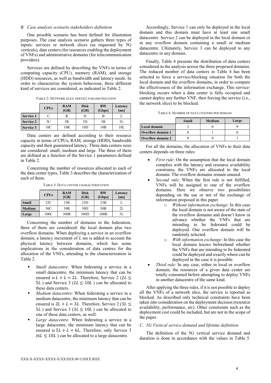# B. Case analysis scenario stakeholders definition

One possible scenario has been defined for illustration purposes. The case analysis scenario gathers three types of inputs: services or network slices (as requested by 5G verticals), data centers (for resources enabling the deployment of VNFs) and administrative domains (for telecommunication providers).

Services are defined by describing the VNFs in terms of computing capacity (CPU), memory (RAM), and storage (HDD) resources, as well as bandwidth and latency needs. In order to characterize the system behaviour, three different kind of services are considered, as indicated in Table 2.

|                  | <b>CPUs</b>     | <b>RAM</b><br>[GB] | <b>Disk</b><br>[GB] | <b>BW</b><br>[Gbps] | Latency<br>[ms] |
|------------------|-----------------|--------------------|---------------------|---------------------|-----------------|
| <b>Service 1</b> |                 |                    | D                   | B                   |                 |
| <b>Service 2</b> | 5C              | 5R                 | 5D                  | 5B                  | 5L              |
| <b>Service 3</b> | 10 <sup>C</sup> | 10R                | 10D                 | 10B                 | 10L             |

TABLE 2: NETWORK SLICE SERVICE PARAMETRIZATION

Data centers are defined according to their resource capacity in terms of CPUs, RAM, storage (HDD), bandwidth capacity and their guaranteed latency. Three data centers sizes are considered: small, medium and large. The three of them are defined as a function of the Service 1 parameters defined in Table 2.

Concerning the number of resources allocated to each of the data center types, Table 3 describes the characterization of each of them.

TABLE 3: DATA CENTER CHARACTERIZATION

|               | <b>CPUs</b> | <b>RAM</b><br>[GB] | <b>Disk</b><br>[GB] | <b>BW</b><br>[Gbps] | Latency<br>[ms] |
|---------------|-------------|--------------------|---------------------|---------------------|-----------------|
| <b>Small</b>  | 25C         | 25R                | 25D                 | 25B                 |                 |
| <b>Medium</b> | 50C         | 50 <sub>R</sub>    | 50 <sub>D</sub>     | 50 <sub>B</sub>     | 2L              |
| Large         | 300C        | 300R               | 300D                | 300B                | 5L              |

Concerning the number of domains in the federation, three of them are considered: the local domain plus two overflow domains. When deploying a service in an overflow domain, a latency increment of  $L$  ms is added to account the physical latency between domains, which has some implications in the consideration of data centres for the allocation of the VNFs, attending to the characterization in Table 2.

- Small datacentre. When federating a service in a small datacentre, the minimum latency that can be ensured is  $L + L = 2L$ . Therefore, Service 2 (2L  $\leq$ 5L) and Service 3 ( $2L \le 10L$ ) can be allocated to these data centers.
- Medium datacentre: When federating a service in a medium datacentre, the minimum latency that can be ensured is  $2L + L = 3L$ . Therefore, Service  $2(3L \leq$ 5*L*) and Service 3 ( $3L \le 10L$ ) can be allocated to one of these data centers, as well.
- Large datacentre. When federating a service in a large datacentre, the minimum latency that can be ensured is  $5L + L = 6L$ . Therefore, only Service 3  $(6L \le 10L)$  can be allocated to a large datacentre.

Accordingly, Service 1 can only be deployed in the local domain and this domain must have at least one small datacentre. Service 2 can be deployed in the local domain or in any overflow domain containing a small or medium datacentre. Ultimately, Service 3 can be deployed to any datacentre in any domain.

Finally, Table 4 presents the distribution of data centers considered in the analysis across the three proposed domains. The reduced number of data centers in Table 4 has been selected to force a service-blocking situation for both the local domain and the overflow domains, in order to compare the effectiveness of the information exchange. This serviceblocking occurs when a data center is fully occupied and cannot deploy any further VNF, then forcing the service (i.e., the network slice) to be blocked.

TABLE 4: NUMBER OF DATA CENTERS PER DOMAIN

|                          | <b>Small</b> | <b>Medium</b> | Large |
|--------------------------|--------------|---------------|-------|
| Local domain             |              |               |       |
| <b>Overflow domain 1</b> |              |               |       |
| Overflow domain 2        |              |               |       |

For all the domains, the allocation of VNFs to their data centers depends on three rules:

- First rule: On the assumption that the local domain complies with the latency and resource availability constrains, the VNFs are allocated to the local domain. The overflow domains remain unused.
- Second rule: When the first rule is not fulfilled, VNFs will be assigned to one of the overflow domains. Here we observe two possibilities depending on the use or not of the exchange of information proposed in this paper.
	- o Without information exchange: In this case the local domain is not aware of the state of the overflow domains and doesn't know in advance whether the VNFs that are intending to be federated could be deployed. One overflow domain will be randomly selected.
	- o With information exchange: In this case the local domain knows beforehand whether the VNFs that are intending to be federated could be deployed and exactly where can be deployed in the case it is possible.
- Third rule: In any case, either in local or overflow domain, the resources of a given data center are totally consumed before attempting to deploy VNFs in another datacentre of the same kind.

After applying the three rules, if it is not possible to deploy all the VNFs of a network slice, the service is reported as blocked. As described only technical constraints have been taken into consideration on the deployment decision (resource availability, performance, etc). Other constraints such as the deployment cost could be included, but are not in the scope of the paper.

# C. 5G Vertical service demand and lifetime definition

The definition of the 5G vertical service demand and duration is done in accordance with the values in Table 5.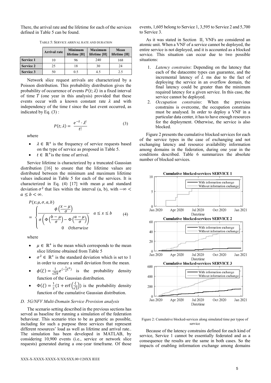There, the arrival rate and the lifetime for each of the services defined in Table 5 can be found.

|                  | <b>Arrival rate</b> | <b>Minimum</b><br>lifetime [H] | <b>Maximum</b><br>lifetime [H] | Mean<br>lifetime [H] |
|------------------|---------------------|--------------------------------|--------------------------------|----------------------|
| Service 1        | 10                  | 96                             | 240                            | 168                  |
| <b>Service 2</b> | 25                  | 18                             | 30                             | 24                   |
| Service 3        | 50                  | 0.5                            | 4.5                            | າ 5                  |

TABLE 5: SERVICE ARRIVAL RATE AND DURATION

Network slice request arrivals are characterized by a Poisson distribution. This probability distribution gives the probability of occurrence of events  $P(t; \lambda)$  in a fixed interval of time  $T$  (one year in this analysis) provided that these events occur with a known constant rate  $\lambda$  and with independency of the time  $t$  since the last event occurred, as indicated by Eq. (3) :

$$
P(t; \lambda) = \frac{e^{-\lambda} \cdot \lambda^t}{t!} \tag{3}
$$

where

- $\lambda \in \mathbb{R}^+$  is the frequency of service requests based on the type of service as proposed in Table 5.
- $t \in \mathbb{R}^+$  is the time of arrival.

Service lifetime is characterized by a truncated Gaussian distribution [16] to ensure that the lifetime values are distributed between the minimum and maximum lifetime values indicated in Table 5 for each of the services. It is characterized in Eq. (4) [17] with mean  $\mu$  and standard deviation  $\sigma^2$  that lies within the interval (a, b), with  $-\infty <$  $a \leq b < \infty$ .

$$
P(x; \mu, \sigma, a, b)
$$
\n
$$
= \begin{cases} \frac{\phi\left(\frac{x-\mu}{\sigma}\right)}{\sigma\left(\phi\left(\frac{b-\mu}{\sigma}\right) - \phi\left(\frac{a-\mu}{\sigma}\right)\right)} & a \leq x \leq b\\ 0 & \text{otherwise} \end{cases} (4)
$$

where

- $\mu \in \mathbb{R}^+$  is the mean which corresponds to the mean slice lifetime obtained from Table 5
- $\sigma^2 \in \mathbb{R}^+$  is the standard deviation which is set to 1 in order to ensure a small deviation from the mean.
- $\phi(\xi) = \frac{1}{\sqrt{2}}$  $rac{1}{\sqrt{2\pi}}e^{(-\frac{1}{2}\xi^2)}$  is the probability density function of the Gaussian distribution.
- $\Phi(\xi) = \frac{1}{2}$  $\frac{1}{2}(1 + \text{erf}\left(\frac{\xi}{\sqrt{2}}\right))$  is the probability density function of the cumulative Gaussian distribution.

## D. 5G/NFV Multi-Domain Service Provision analysis

The scenario setting described in the previous sections has served as baseline for running a simulation of the federation behaviour. This scenario tries to be as generic as possible, including for such a purpose three services that represent different resources' load as well as lifetime and arrival rate.. The simulation has been developed in MATLAB, by considering 10,900 events (i.e., service or network slice requests) generated during a one-year timeframe. Of those

events, 1,605 belong to Service 1, 3,595 to Service 2 and 5,700 to Service 3.

As it was stated in Section II, VNFs are considered an atomic unit. When a VNF of a service cannot be deployed, the entire service is not deployed, and it is accounted as a blocked service. This situation can occur due to two possible situations:

- 1. Latency constrains: Depending on the latency that each of the datacentre types can guarantee, and the incremental latency of L ms due to the fact of deploying the service in an overflow domain, the final latency could be greater than the minimum required latency for a given service. In this case, the service cannot be deployed.
- 2. Occupation constrains: When the previous constrains is overcome, the occupation constrains must be analysed. In order to deploy a VNF in a particular data center, it has to have enough resources for the deployment. Otherwise, the service is also blocked.

Figure 2 presents the cumulative blocked services for each of the service types in the case of exchanging and not exchanging latency and resource availability information among domains in the federation, during one year in the conditions described. Table 6 summarizes the absolute number of blocked services.



Figure 2: Cumulative blocked-services along simulated time per typoe of service

Because of the latency constrains defined for each kind of service, Service 1 cannot be essentially federated and as a consequence the results are the same in both cases. So the impacts of enabling information exchange among domains